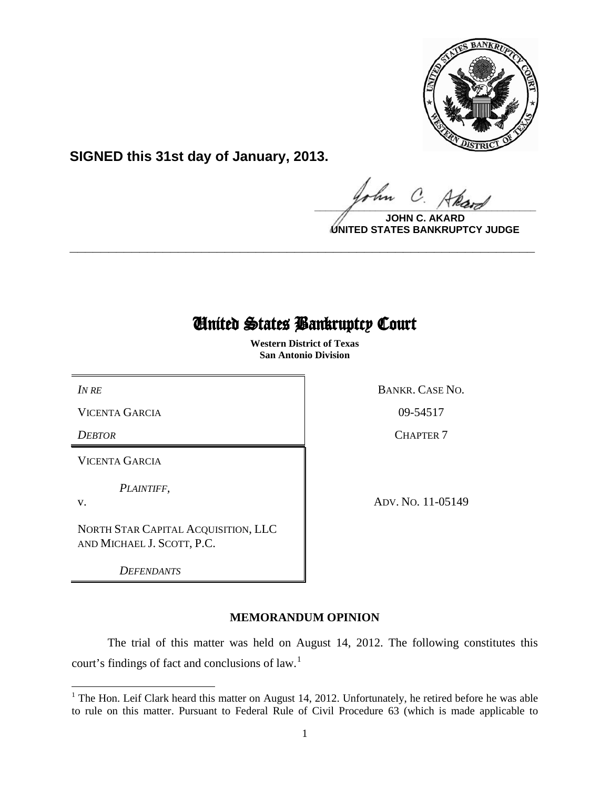

**SIGNED this 31st day of January, 2013.**

 $\Omega$  $\frac{1}{\sqrt{1-\frac{1}{2}}\sqrt{1-\frac{1}{2}}\sqrt{1-\frac{1}{2}}\sqrt{1-\frac{1}{2}}\sqrt{1-\frac{1}{2}}\sqrt{1-\frac{1}{2}}\sqrt{1-\frac{1}{2}}\sqrt{1-\frac{1}{2}}\sqrt{1-\frac{1}{2}}\sqrt{1-\frac{1}{2}}\sqrt{1-\frac{1}{2}}\sqrt{1-\frac{1}{2}}\sqrt{1-\frac{1}{2}}\sqrt{1-\frac{1}{2}}\sqrt{1-\frac{1}{2}}\sqrt{1-\frac{1}{2}}\sqrt{1-\frac{1}{2}}\sqrt{1-\frac{1}{2}}\sqrt{1-\frac{1}{2}}\sqrt{1-\frac$ 

**JOHN C. AKARD UNITED STATES BANKRUPTCY JUDGE**

# United States Bankruptcy Court

 $\overline{\phantom{0}}$ 

**\_\_\_\_\_\_\_\_\_\_\_\_\_\_\_\_\_\_\_\_\_\_\_\_\_\_\_\_\_\_\_\_\_\_\_\_\_\_\_\_\_\_\_\_\_\_\_\_\_\_\_\_\_\_\_\_\_\_\_\_**

 **Western District of Texas San Antonio Division**

VICENTA GARCIA 09-54517

VICENTA GARCIA

*PLAINTIFF,*

v.

ı

NORTH STAR CAPITAL ACQUISITION, LLC AND MICHAEL J. SCOTT, P.C.

*DEFENDANTS*

*IN RE* BANKR. CASE NO.

*DEBTOR* CHAPTER 7

ADV. NO. 11-05149

# **MEMORANDUM OPINION**

The trial of this matter was held on August 14, 2012. The following constitutes this court's findings of fact and conclusions of law.<sup>[1](#page-0-0)</sup>

<span id="page-0-0"></span> $1$  The Hon. Leif Clark heard this matter on August 14, 2012. Unfortunately, he retired before he was able to rule on this matter. Pursuant to Federal Rule of Civil Procedure 63 (which is made applicable to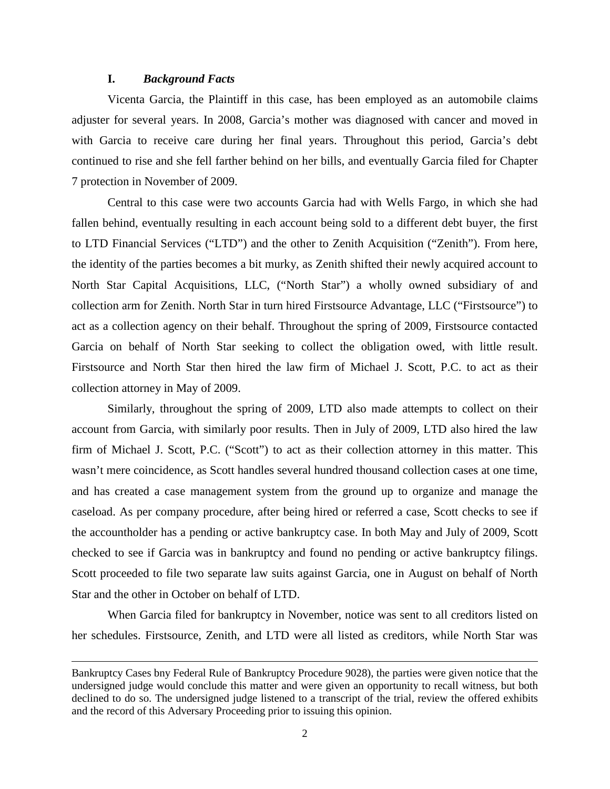### **I.** *Background Facts*

 $\overline{\phantom{0}}$ 

Vicenta Garcia, the Plaintiff in this case, has been employed as an automobile claims adjuster for several years. In 2008, Garcia's mother was diagnosed with cancer and moved in with Garcia to receive care during her final years. Throughout this period, Garcia's debt continued to rise and she fell farther behind on her bills, and eventually Garcia filed for Chapter 7 protection in November of 2009.

Central to this case were two accounts Garcia had with Wells Fargo, in which she had fallen behind, eventually resulting in each account being sold to a different debt buyer, the first to LTD Financial Services ("LTD") and the other to Zenith Acquisition ("Zenith"). From here, the identity of the parties becomes a bit murky, as Zenith shifted their newly acquired account to North Star Capital Acquisitions, LLC, ("North Star") a wholly owned subsidiary of and collection arm for Zenith. North Star in turn hired Firstsource Advantage, LLC ("Firstsource") to act as a collection agency on their behalf. Throughout the spring of 2009, Firstsource contacted Garcia on behalf of North Star seeking to collect the obligation owed, with little result. Firstsource and North Star then hired the law firm of Michael J. Scott, P.C. to act as their collection attorney in May of 2009.

Similarly, throughout the spring of 2009, LTD also made attempts to collect on their account from Garcia, with similarly poor results. Then in July of 2009, LTD also hired the law firm of Michael J. Scott, P.C. ("Scott") to act as their collection attorney in this matter. This wasn't mere coincidence, as Scott handles several hundred thousand collection cases at one time, and has created a case management system from the ground up to organize and manage the caseload. As per company procedure, after being hired or referred a case, Scott checks to see if the accountholder has a pending or active bankruptcy case. In both May and July of 2009, Scott checked to see if Garcia was in bankruptcy and found no pending or active bankruptcy filings. Scott proceeded to file two separate law suits against Garcia, one in August on behalf of North Star and the other in October on behalf of LTD.

When Garcia filed for bankruptcy in November, notice was sent to all creditors listed on her schedules. Firstsource, Zenith, and LTD were all listed as creditors, while North Star was

Bankruptcy Cases bny Federal Rule of Bankruptcy Procedure 9028), the parties were given notice that the undersigned judge would conclude this matter and were given an opportunity to recall witness, but both declined to do so. The undersigned judge listened to a transcript of the trial, review the offered exhibits and the record of this Adversary Proceeding prior to issuing this opinion.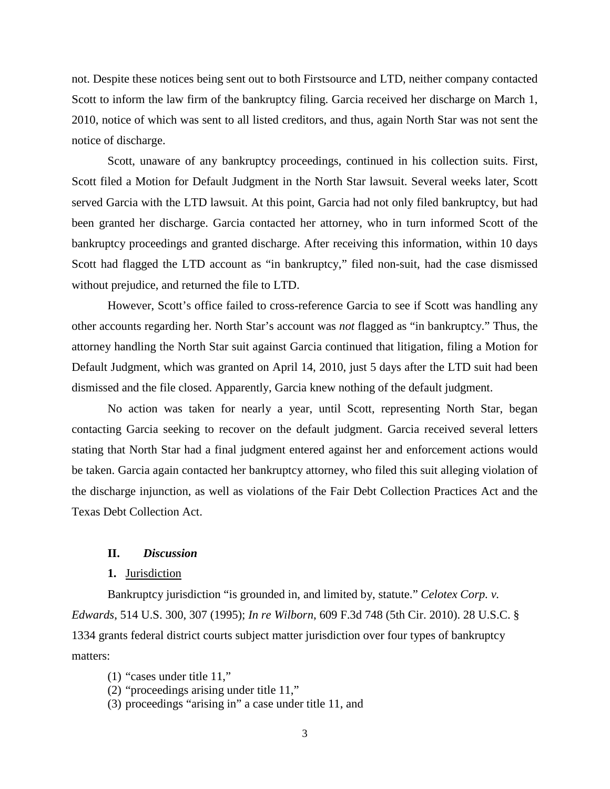not. Despite these notices being sent out to both Firstsource and LTD, neither company contacted Scott to inform the law firm of the bankruptcy filing. Garcia received her discharge on March 1, 2010, notice of which was sent to all listed creditors, and thus, again North Star was not sent the notice of discharge.

Scott, unaware of any bankruptcy proceedings, continued in his collection suits. First, Scott filed a Motion for Default Judgment in the North Star lawsuit. Several weeks later, Scott served Garcia with the LTD lawsuit. At this point, Garcia had not only filed bankruptcy, but had been granted her discharge. Garcia contacted her attorney, who in turn informed Scott of the bankruptcy proceedings and granted discharge. After receiving this information, within 10 days Scott had flagged the LTD account as "in bankruptcy," filed non-suit, had the case dismissed without prejudice, and returned the file to LTD.

However, Scott's office failed to cross-reference Garcia to see if Scott was handling any other accounts regarding her. North Star's account was *not* flagged as "in bankruptcy." Thus, the attorney handling the North Star suit against Garcia continued that litigation, filing a Motion for Default Judgment, which was granted on April 14, 2010, just 5 days after the LTD suit had been dismissed and the file closed. Apparently, Garcia knew nothing of the default judgment.

No action was taken for nearly a year, until Scott, representing North Star, began contacting Garcia seeking to recover on the default judgment. Garcia received several letters stating that North Star had a final judgment entered against her and enforcement actions would be taken. Garcia again contacted her bankruptcy attorney, who filed this suit alleging violation of the discharge injunction, as well as violations of the Fair Debt Collection Practices Act and the Texas Debt Collection Act.

## **II.** *Discussion*

#### **1.** Jurisdiction

Bankruptcy jurisdiction "is grounded in, and limited by, statute." *Celotex Corp. v. Edwards*, 514 U.S. 300, 307 (1995); *In re Wilborn*, 609 F.3d 748 (5th Cir. 2010). 28 U.S.C. § 1334 grants federal district courts subject matter jurisdiction over four types of bankruptcy matters:

- (1) "cases under [title](http://web2.westlaw.com/find/default.wl?mt=26&db=1000546&docname=11USCAS1127&rp=%2ffind%2fdefault.wl&findtype=L&ordoc=2002478711&tc=-1&vr=2.0&fn=_top&sv=Split&tf=-1&pbc=FE48A835&rs=WLW12.07) 11,"
- (2) "proceedings arising under [title 11,](http://web2.westlaw.com/find/default.wl?mt=26&db=1000546&docname=11USCAS1127&rp=%2ffind%2fdefault.wl&findtype=L&ordoc=2002478711&tc=-1&vr=2.0&fn=_top&sv=Split&tf=-1&pbc=FE48A835&rs=WLW12.07)"
- (3) proceedings "arising in" a case under title 11, and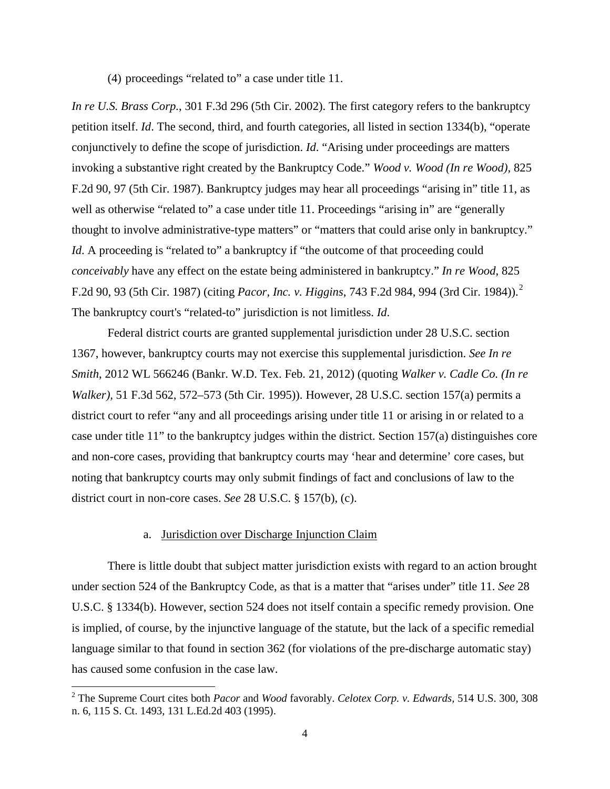(4) proceedings "related to" a case under [title 11.](http://web2.westlaw.com/find/default.wl?mt=26&db=1000546&docname=11USCAS1127&rp=%2ffind%2fdefault.wl&findtype=L&ordoc=2002478711&tc=-1&vr=2.0&fn=_top&sv=Split&tf=-1&pbc=FE48A835&rs=WLW12.07)

*In re U.S. Brass Corp.*, 301 F.3d 296 (5th Cir. 2002). The first category refers to the bankruptcy petition itself. *Id*. The second, third, and fourth categories, all listed in section [1334\(b\),](http://web2.westlaw.com/find/default.wl?mt=26&db=1000546&docname=28USCAS1334&rp=%2ffind%2fdefault.wl&findtype=L&ordoc=2002478711&tc=-1&vr=2.0&fn=_top&sv=Split&tf=-1&pbc=FE48A835&rs=WLW12.07) "operate conjunctively to define the scope of jurisdiction. *Id*. "Arising under proceedings are matters invoking a substantive right created by the Bankruptcy Code." *Wood v. Wood (In re Wood),* 825 F.2d 90, 97 (5th Cir. 1987). Bankruptcy judges may hear all proceedings "arising in" title 11, as well as otherwise "related to" a case under title 11. Proceedings "arising in" are "generally thought to involve administrative-type matters" or "matters that could arise only in bankruptcy." *Id*. A proceeding is "related to" a bankruptcy if "the outcome of that proceeding could *conceivably* have any effect on the estate being administered in bankruptcy." *In re Wood*, 825 F.2d 90, 93 (5th Cir. 1987) (citing *Pacor, Inc. v. Higgins*, 743 F.2d 984, 994 (3rd Cir. 1984)).[2](#page-3-0) The bankruptcy court's "related-to" jurisdiction is not limitless. *[Id](http://web2.westlaw.com/find/default.wl?mt=26&db=708&tc=-1&rp=%2ffind%2fdefault.wl&findtype=Y&ordoc=2017895155&serialnum=1995091686&vr=2.0&fn=_top&sv=Split&tf=-1&pbc=8DDB1447&rs=WLW12.07)*.

Federal district courts are granted supplemental jurisdiction under 28 U.S.C. section 1367, however, bankruptcy courts may not exercise this supplemental jurisdiction. *See In re Smith*, 2012 WL 566246 (Bankr. W.D. Tex. Feb. 21, 2012) (quoting *Walker v. Cadle Co. (In re Walker),* 51 F.3d 562, 572–573 (5th Cir. 1995)). However, 28 U.S.C. section 157(a) permits a district court to refer "any and all proceedings arising under title 11 or arising in or related to a case under title 11" to the bankruptcy judges within the district. Section 157(a) distinguishes core and non-core cases, providing that bankruptcy courts may 'hear and determine' core cases, but noting that bankruptcy courts may only submit findings of fact and conclusions of law to the district court in non-core cases. *See* 28 U.S.C. § 157(b), (c).

### a. Jurisdiction over Discharge Injunction Claim

ı

There is little doubt that subject matter jurisdiction exists with regard to an action brought under section 524 of the Bankruptcy Code, as that is a matter that "arises under" title 11. *See* 28 U.S.C. § 1334(b). However, section 524 does not itself contain a specific remedy provision. One is implied, of course, by the injunctive language of the statute, but the lack of a specific remedial language similar to that found in section 362 (for violations of the pre-discharge automatic stay) has caused some confusion in the case law.

<span id="page-3-0"></span><sup>2</sup> The Supreme Court cites both *Pacor* and *Wood* favorably. *[Celotex Corp. v. Edwards,](https://web2.westlaw.com/find/default.wl?mt=26&db=708&tc=-1&rp=%2ffind%2fdefault.wl&findtype=Y&ordoc=2024704277&serialnum=1995091686&vr=2.0&fn=_top&sv=Split&tf=-1&pbc=9ABCE5F5&rs=WLW12.07)* 514 U.S. 300, 308 [n. 6, 115 S. Ct. 1493, 131 L.Ed.2d 403 \(1995\).](https://web2.westlaw.com/find/default.wl?mt=26&db=708&tc=-1&rp=%2ffind%2fdefault.wl&findtype=Y&ordoc=2024704277&serialnum=1995091686&vr=2.0&fn=_top&sv=Split&tf=-1&pbc=9ABCE5F5&rs=WLW12.07)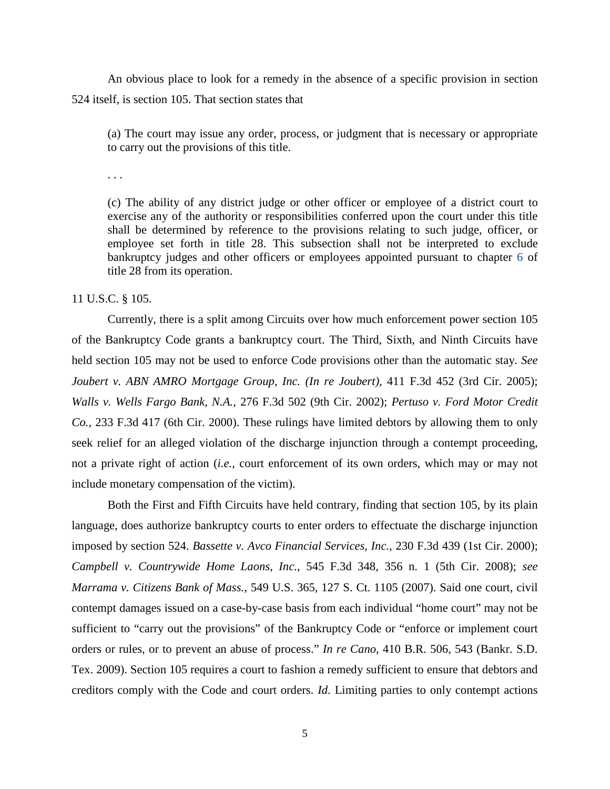An obvious place to look for a remedy in the absence of a specific provision in section 524 itself, is section 105. That section states that

(a) The court may issue any order, process, or judgment that is necessary or appropriate to carry out the provisions of this title.

. . .

(c) The ability of any district judge or other officer or employee of a district court to exercise any of the authority or responsibilities conferred upon the court under this title shall be determined by reference to the provisions relating to such judge, officer, or employee set forth in title 28. This subsection shall not be interpreted to exclude bankruptcy judges and other officers or employees appointed pursuant to chapter [6](http://www.law.cornell.edu/uscode/text/28/part-I/chapter-6) of title 28 from its operation.

11 U.S.C. § 105.

Currently, there is a split among Circuits over how much enforcement power section 105 of the Bankruptcy Code grants a bankruptcy court. The Third, Sixth, and Ninth Circuits have held section 105 may not be used to enforce Code provisions other than the automatic stay. *See Joubert v. ABN AMRO Mortgage Group, Inc. (In re Joubert),* 411 F.3d 452 (3rd Cir. 2005); *Walls v. Wells Fargo Bank, N.A.,* 276 F.3d 502 (9th Cir. 2002); *Pertuso v. Ford Motor Credit Co.,* 233 F.3d 417 (6th Cir. 2000). These rulings have limited debtors by allowing them to only seek relief for an alleged violation of the discharge injunction through a contempt proceeding, not a private right of action (*i.e.*, court enforcement of its own orders, which may or may not include monetary compensation of the victim).

Both the First and Fifth Circuits have held contrary, finding that section 105, by its plain language, does authorize bankruptcy courts to enter orders to effectuate the discharge injunction imposed by section 524. *Bassette v. Avco Financial Services, Inc.*, 230 F.3d 439 (1st Cir. 2000); *Campbell v. Countrywide Home Laons, Inc.*, 545 F.3d 348, 356 n. 1 (5th Cir. 2008); *see Marrama v. Citizens Bank of Mass.*, 549 U.S. 365, 127 S. Ct. 1105 (2007). Said one court, civil contempt damages issued on a case-by-case basis from each individual "home court" may not be sufficient to "carry out the provisions" of the Bankruptcy Code or "enforce or implement court orders or rules, or to prevent an abuse of process." *In re Cano*, 410 B.R. 506, 543 (Bankr. S.D. Tex. 2009). Section 105 requires a court to fashion a remedy sufficient to ensure that debtors and creditors comply with the Code and court orders. *Id*. Limiting parties to only contempt actions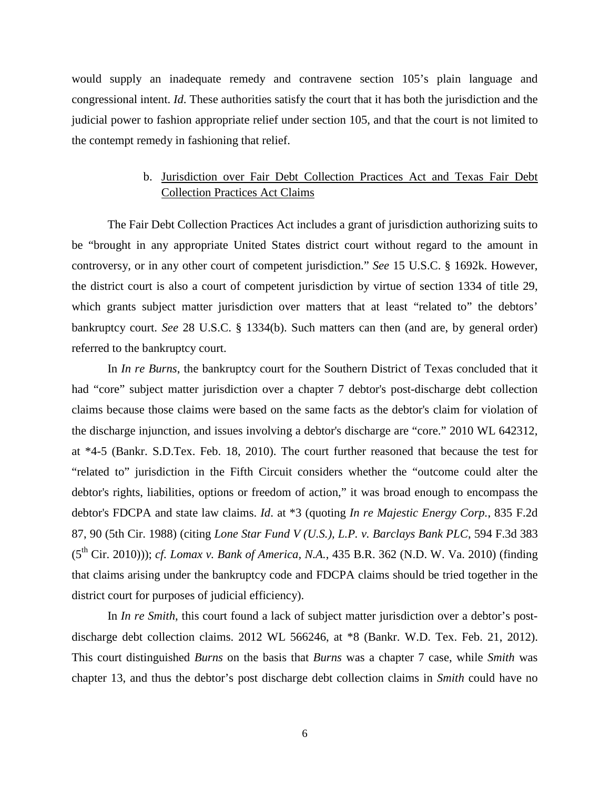would supply an inadequate remedy and contravene section 105's plain language and congressional intent. *Id*. These authorities satisfy the court that it has both the jurisdiction and the judicial power to fashion appropriate relief under section 105, and that the court is not limited to the contempt remedy in fashioning that relief.

# b. Jurisdiction over Fair Debt Collection Practices Act and Texas Fair Debt Collection Practices Act Claims

The Fair Debt Collection Practices Act includes a grant of jurisdiction authorizing suits to be "brought in any appropriate United States district court without regard to the amount in controversy, or in any other court of competent jurisdiction." *See* 15 U.S.C. § 1692k. However, the district court is also a court of competent jurisdiction by virtue of section 1334 of title 29, which grants subject matter jurisdiction over matters that at least "related to" the debtors' bankruptcy court. *See* 28 U.S.C. § 1334(b). Such matters can then (and are, by general order) referred to the bankruptcy court.

In *In re Burns*, the bankruptcy court for the Southern District of Texas concluded that it had "core" subject matter jurisdiction over a chapter 7 debtor's post-discharge debt collection claims because those claims were based on the same facts as the debtor's claim for violation of the discharge injunction, and issues involving a debtor's discharge are "core." 2010 WL 642312, at \*4-5 (Bankr. S.D.Tex. Feb. 18, 2010). The court further reasoned that because the test for "related to" jurisdiction in the Fifth Circuit considers whether the "outcome could alter the debtor's rights, liabilities, options or freedom of action," it was broad enough to encompass the debtor's FDCPA and state law claims. *Id*. at \*3 (quoting *In re Majestic Energy Corp.*, 835 F.2d 87, 90 (5th Cir. 1988) (citing *Lone Star Fund V (U.S.), L.P. v. Barclays Bank PLC*, 594 F.3d 383 (5th Cir. 2010))); *cf. Lomax v. Bank of America, N.A.*, 435 B.R. 362 (N.D. W. Va. 2010) (finding that claims arising under the bankruptcy code and FDCPA claims should be tried together in the district court for purposes of judicial efficiency).

In *In re Smith*, this court found a lack of subject matter jurisdiction over a debtor's postdischarge debt collection claims. 2012 WL 566246, at \*8 (Bankr. W.D. Tex. Feb. 21, 2012). This court distinguished *Burns* on the basis that *Burns* was a chapter 7 case, while *Smith* was chapter 13, and thus the debtor's post discharge debt collection claims in *Smith* could have no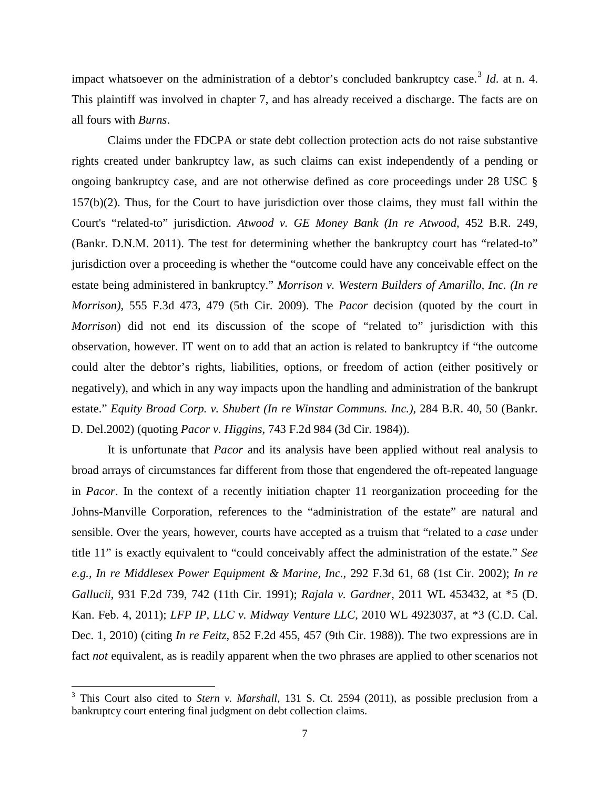impact whatsoever on the administration of a debtor's concluded bankruptcy case.<sup>[3](#page-6-0)</sup> Id. at n. 4. This plaintiff was involved in chapter 7, and has already received a discharge. The facts are on all fours with *Burns*.

Claims under the FDCPA or state debt collection protection acts do not raise substantive rights created under bankruptcy law, as such claims can exist independently of a pending or ongoing bankruptcy case, and are not otherwise defined as core proceedings under 28 USC § 157(b)(2). Thus, for the Court to have jurisdiction over those claims, they must fall within the Court's "related-to" jurisdiction. *Atwood v. GE Money Bank (In re Atwood*, 452 B.R. 249, (Bankr. D.N.M. 2011). The test for determining whether the bankruptcy court has "related-to" jurisdiction over a proceeding is whether the "outcome could have any conceivable effect on the estate being administered in bankruptcy." *Morrison v. Western Builders of Amarillo, Inc. (In re Morrison),* 555 F.3d 473, 479 (5th Cir. 2009). The *Pacor* decision (quoted by the court in *Morrison*) did not end its discussion of the scope of "related to" jurisdiction with this observation, however. IT went on to add that an action is related to bankruptcy if "the outcome could alter the debtor's rights, liabilities, options, or freedom of action (either positively or negatively), and which in any way impacts upon the handling and administration of the bankrupt estate." *Equity Broad Corp. v. Shubert (In re Winstar Communs. Inc.),* 284 B.R. 40, 50 (Bankr. D. Del.2002) (quoting *Pacor v. Higgins,* 743 F.2d 984 (3d Cir. 1984)).

It is unfortunate that *Pacor* and its analysis have been applied without real analysis to broad arrays of circumstances far different from those that engendered the oft-repeated language in *Pacor*. In the context of a recently initiation chapter 11 reorganization proceeding for the Johns-Manville Corporation, references to the "administration of the estate" are natural and sensible. Over the years, however, courts have accepted as a truism that "related to a *case* under title 11" is exactly equivalent to "could conceivably affect the administration of the estate." *See e.g., In re Middlesex Power Equipment & Marine, Inc.*, 292 F.3d 61, 68 (1st Cir. 2002); *In re Gallucii*, 931 F.2d 739, 742 (11th Cir. 1991); *Rajala v. Gardner*, 2011 WL 453432, at \*5 (D. Kan. Feb. 4, 2011); *LFP IP, LLC v. Midway Venture LLC*, 2010 WL 4923037, at \*3 (C.D. Cal. Dec. 1, 2010) (citing *In re Feitz*, 852 F.2d 455, 457 (9th Cir. 1988)). The two expressions are in fact *not* equivalent, as is readily apparent when the two phrases are applied to other scenarios not

ı

<span id="page-6-0"></span><sup>&</sup>lt;sup>3</sup> This Court also cited to *Stern v. Marshall*, 131 S. Ct. 2594 (2011), as possible preclusion from a bankruptcy court entering final judgment on debt collection claims.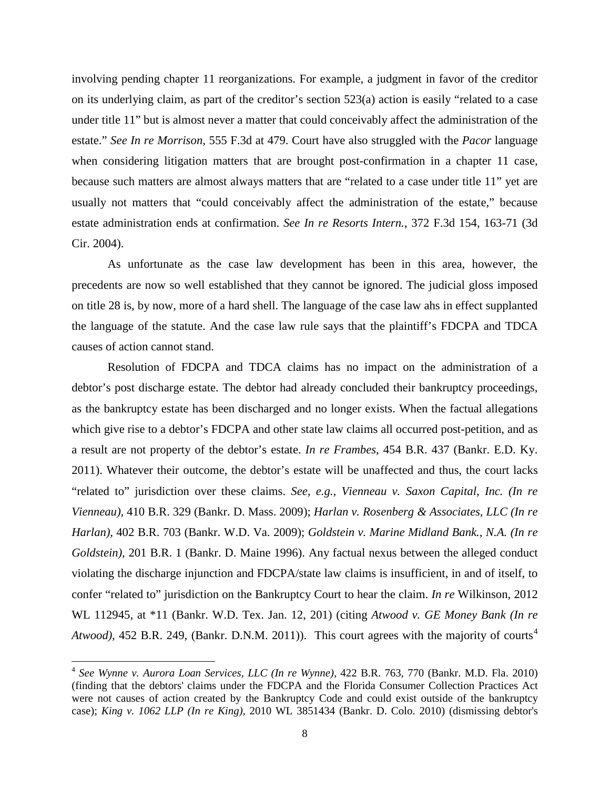involving pending chapter 11 reorganizations. For example, a judgment in favor of the creditor on its underlying claim, as part of the creditor's section 523(a) action is easily "related to a case under title 11" but is almost never a matter that could conceivably affect the administration of the estate." *See In re Morrison*, 555 F.3d at 479. Court have also struggled with the *Pacor* language when considering litigation matters that are brought post-confirmation in a chapter 11 case, because such matters are almost always matters that are "related to a case under title 11" yet are usually not matters that "could conceivably affect the administration of the estate," because estate administration ends at confirmation. *See In re Resorts Intern.*, 372 F.3d 154, 163-71 (3d Cir. 2004).

As unfortunate as the case law development has been in this area, however, the precedents are now so well established that they cannot be ignored. The judicial gloss imposed on title 28 is, by now, more of a hard shell. The language of the case law ahs in effect supplanted the language of the statute. And the case law rule says that the plaintiff's FDCPA and TDCA causes of action cannot stand.

Resolution of FDCPA and TDCA claims has no impact on the administration of a debtor's post discharge estate. The debtor had already concluded their bankruptcy proceedings, as the bankruptcy estate has been discharged and no longer exists. When the factual allegations which give rise to a debtor's FDCPA and other state law claims all occurred post-petition, and as a result are not property of the debtor's estate. *In re Frambes*, 454 B.R. 437 (Bankr. E.D. Ky. 2011). Whatever their outcome, the debtor's estate will be unaffected and thus, the court lacks "related to" jurisdiction over these claims. *See, e.g., [Vienneau v. Saxon Capital, Inc. \(In re](http://web2.westlaw.com/find/default.wl?mt=26&db=164&tc=-1&rp=%2ffind%2fdefault.wl&findtype=Y&ordoc=2025388201&serialnum=2019636319&vr=2.0&fn=_top&sv=Split&tf=-1&pbc=68BEAAC6&rs=WLW12.07)  Vienneau),* [410 B.R. 329 \(Bankr. D. Mass. 2009\);](http://web2.westlaw.com/find/default.wl?mt=26&db=164&tc=-1&rp=%2ffind%2fdefault.wl&findtype=Y&ordoc=2025388201&serialnum=2019636319&vr=2.0&fn=_top&sv=Split&tf=-1&pbc=68BEAAC6&rs=WLW12.07) *[Harlan v. Rosenberg & Associates, LLC \(In re](http://web2.westlaw.com/find/default.wl?mt=26&db=164&tc=-1&rp=%2ffind%2fdefault.wl&findtype=Y&ordoc=2025388201&serialnum=2018427519&vr=2.0&fn=_top&sv=Split&tf=-1&pbc=68BEAAC6&rs=WLW12.07)  Harlan),* [402 B.R. 703 \(Bankr. W.D. Va. 2009\);](http://web2.westlaw.com/find/default.wl?mt=26&db=164&tc=-1&rp=%2ffind%2fdefault.wl&findtype=Y&ordoc=2025388201&serialnum=2018427519&vr=2.0&fn=_top&sv=Split&tf=-1&pbc=68BEAAC6&rs=WLW12.07) *[Goldstein v. Marine Midland Bank., N.A. \(In re](http://web2.westlaw.com/find/default.wl?mt=26&db=164&tc=-1&rp=%2ffind%2fdefault.wl&findtype=Y&ordoc=2025388201&serialnum=1996231399&vr=2.0&fn=_top&sv=Split&tf=-1&pbc=68BEAAC6&rs=WLW12.07)  Goldstein),* [201 B.R. 1 \(Bankr. D. Maine 1996\).](http://web2.westlaw.com/find/default.wl?mt=26&db=164&tc=-1&rp=%2ffind%2fdefault.wl&findtype=Y&ordoc=2025388201&serialnum=1996231399&vr=2.0&fn=_top&sv=Split&tf=-1&pbc=68BEAAC6&rs=WLW12.07) Any factual nexus between the alleged conduct violating the discharge injunction and FDCPA/state law claims is insufficient, in and of itself, to confer "related to" jurisdiction on the Bankruptcy Court to hear the claim. *In re* Wilkinson, 2012 WL 112945, at \*11 (Bankr. W.D. Tex. Jan. 12, 201) (citing *Atwood v. GE Money Bank (In re Atwood*), [4](#page-7-0)52 B.R. 249, (Bankr. D.N.M. 2011)). This court agrees with the majority of courts<sup>4</sup>

 $\overline{\phantom{0}}$ 

<span id="page-7-0"></span><sup>4</sup> *See [Wynne v. Aurora Loan Services, LLC \(In re Wynne\),](http://web2.westlaw.com/find/default.wl?mt=26&db=164&tc=-1&rp=%2ffind%2fdefault.wl&findtype=Y&ordoc=2024971438&serialnum=2021308302&vr=2.0&fn=_top&sv=Split&tf=-1&referencepositiontype=S&pbc=6384D50B&referenceposition=770&rs=WLW12.07)* 422 B.R. 763, 770 (Bankr. M.D. Fla. 2010) (finding that the debtors' claims under the FDCPA and the Florida Consumer Collection Practices Act were not causes of action created by the Bankruptcy Code and could exist outside of the bankruptcy case); *King v. 1062 LLP (In re King),* [2010 WL 3851434 \(Bankr. D. Colo. 2010\)](http://web2.westlaw.com/find/default.wl?mt=26&db=0000999&tc=-1&rp=%2ffind%2fdefault.wl&findtype=Y&ordoc=2024971438&serialnum=2023224661&vr=2.0&fn=_top&sv=Split&tf=-1&pbc=6384D50B&rs=WLW12.07) (dismissing debtor's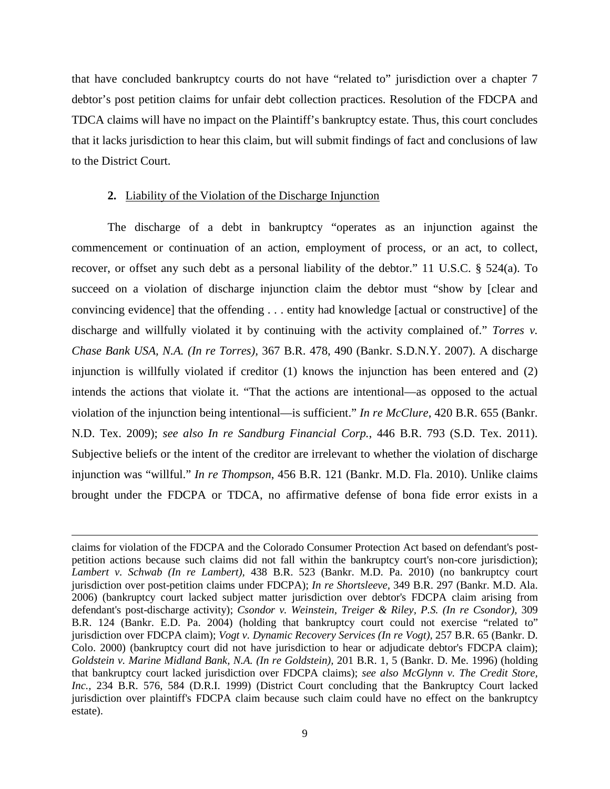that have concluded bankruptcy courts do not have "related to" jurisdiction over a chapter 7 debtor's post petition claims for unfair debt collection practices. Resolution of the FDCPA and TDCA claims will have no impact on the Plaintiff's bankruptcy estate. Thus, this court concludes that it lacks jurisdiction to hear this claim, but will submit findings of fact and conclusions of law to the District Court.

#### **2.** Liability of the Violation of the Discharge Injunction

ı

The discharge of a debt in bankruptcy "operates as an injunction against the commencement or continuation of an action, employment of process, or an act, to collect, recover, or offset any such debt as a personal liability of the debtor." 11 U.S.C. § 524(a). To succeed on a violation of discharge injunction claim the debtor must "show by [clear and convincing evidence] that the offending . . . entity had knowledge [actual or constructive] of the discharge and willfully violated it by continuing with the activity complained of." *Torres v. Chase Bank USA, N.A. (In re Torres),* 367 B.R. 478, 490 (Bankr. S.D.N.Y. 2007). A discharge injunction is willfully violated if creditor (1) knows the injunction has been entered and (2) intends the actions that violate it. "That the actions are intentional—as opposed to the actual violation of the injunction being intentional—is sufficient." *In re McClure*, 420 B.R. 655 (Bankr. N.D. Tex. 2009); *see also In re Sandburg Financial Corp.*, 446 B.R. 793 (S.D. Tex. 2011). Subjective beliefs or the intent of the creditor are irrelevant to whether the violation of discharge injunction was "willful." *In re Thompson*, 456 B.R. 121 (Bankr. M.D. Fla. 2010). Unlike claims brought under the FDCPA or TDCA, no affirmative defense of bona fide error exists in a

claims for violation of the FDCPA and the Colorado Consumer Protection Act based on defendant's postpetition actions because such claims did not fall within the bankruptcy court's non-core jurisdiction); *Lambert v. Schwab (In re Lambert),* [438 B.R. 523 \(Bankr. M.D. Pa. 2010\)](http://web2.westlaw.com/find/default.wl?mt=26&db=164&tc=-1&rp=%2ffind%2fdefault.wl&findtype=Y&ordoc=2024971438&serialnum=2022953413&vr=2.0&fn=_top&sv=Split&tf=-1&pbc=6384D50B&rs=WLW12.07) (no bankruptcy court jurisdiction over post-petition claims under FDCPA); *In re Shortsleeve,* [349 B.R. 297 \(Bankr. M.D. Ala.](http://web2.westlaw.com/find/default.wl?mt=26&db=164&tc=-1&rp=%2ffind%2fdefault.wl&findtype=Y&ordoc=2024971438&serialnum=2010236889&vr=2.0&fn=_top&sv=Split&tf=-1&pbc=6384D50B&rs=WLW12.07)  [2006\)](http://web2.westlaw.com/find/default.wl?mt=26&db=164&tc=-1&rp=%2ffind%2fdefault.wl&findtype=Y&ordoc=2024971438&serialnum=2010236889&vr=2.0&fn=_top&sv=Split&tf=-1&pbc=6384D50B&rs=WLW12.07) (bankruptcy court lacked subject matter jurisdiction over debtor's FDCPA claim arising from defendant's post-discharge activity); *[Csondor v. Weinstein, Treiger & Riley, P.S. \(In re Csondor\),](http://web2.westlaw.com/find/default.wl?mt=26&db=164&tc=-1&rp=%2ffind%2fdefault.wl&findtype=Y&ordoc=2024971438&serialnum=2004344750&vr=2.0&fn=_top&sv=Split&tf=-1&pbc=6384D50B&rs=WLW12.07)* 309 [B.R. 124 \(Bankr. E.D. Pa. 2004\)](http://web2.westlaw.com/find/default.wl?mt=26&db=164&tc=-1&rp=%2ffind%2fdefault.wl&findtype=Y&ordoc=2024971438&serialnum=2004344750&vr=2.0&fn=_top&sv=Split&tf=-1&pbc=6384D50B&rs=WLW12.07) (holding that bankruptcy court could not exercise "related to" jurisdiction over FDCPA claim); *[Vogt v. Dynamic Recovery Services \(In re Vogt\),](http://web2.westlaw.com/find/default.wl?mt=26&db=164&tc=-1&rp=%2ffind%2fdefault.wl&findtype=Y&ordoc=2024971438&serialnum=2001064039&vr=2.0&fn=_top&sv=Split&tf=-1&pbc=6384D50B&rs=WLW12.07)* 257 B.R. 65 (Bankr. D. [Colo. 2000\)](http://web2.westlaw.com/find/default.wl?mt=26&db=164&tc=-1&rp=%2ffind%2fdefault.wl&findtype=Y&ordoc=2024971438&serialnum=2001064039&vr=2.0&fn=_top&sv=Split&tf=-1&pbc=6384D50B&rs=WLW12.07) (bankruptcy court did not have jurisdiction to hear or adjudicate debtor's FDCPA claim); *[Goldstein v. Marine Midland Bank, N.A. \(In re Goldstein\),](http://web2.westlaw.com/find/default.wl?mt=26&db=164&tc=-1&rp=%2ffind%2fdefault.wl&findtype=Y&ordoc=2024971438&serialnum=1996231399&vr=2.0&fn=_top&sv=Split&tf=-1&referencepositiontype=S&pbc=6384D50B&referenceposition=5&rs=WLW12.07)* 201 B.R. 1, 5 (Bankr. D. Me. 1996) (holding that bankruptcy court lacked jurisdiction over FDCPA claims); *see also [McGlynn v. The Credit Store,](http://web2.westlaw.com/find/default.wl?mt=26&db=164&tc=-1&rp=%2ffind%2fdefault.wl&findtype=Y&ordoc=2024971438&serialnum=1999131576&vr=2.0&fn=_top&sv=Split&tf=-1&referencepositiontype=S&pbc=6384D50B&referenceposition=584&rs=WLW12.07)  Inc.,* [234 B.R. 576, 584 \(D.R.I. 1999\)](http://web2.westlaw.com/find/default.wl?mt=26&db=164&tc=-1&rp=%2ffind%2fdefault.wl&findtype=Y&ordoc=2024971438&serialnum=1999131576&vr=2.0&fn=_top&sv=Split&tf=-1&referencepositiontype=S&pbc=6384D50B&referenceposition=584&rs=WLW12.07) (District Court concluding that the Bankruptcy Court lacked jurisdiction over plaintiff's FDCPA claim because such claim could have no effect on the bankruptcy estate).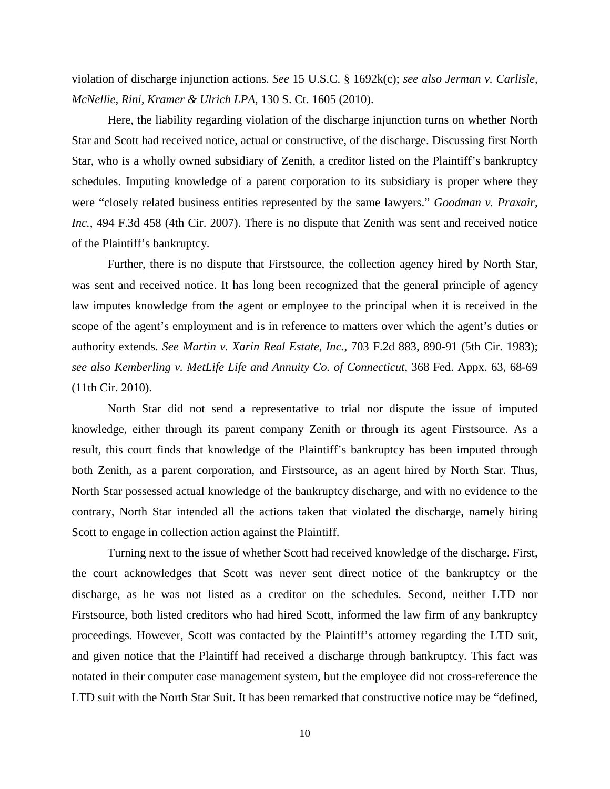violation of discharge injunction actions. *See* 15 U.S.C. § 1692k(c); *see also Jerman v. Carlisle, McNellie, Rini, Kramer & Ulrich LPA*, 130 S. Ct. 1605 (2010).

Here, the liability regarding violation of the discharge injunction turns on whether North Star and Scott had received notice, actual or constructive, of the discharge. Discussing first North Star, who is a wholly owned subsidiary of Zenith, a creditor listed on the Plaintiff's bankruptcy schedules. Imputing knowledge of a parent corporation to its subsidiary is proper where they were "closely related business entities represented by the same lawyers." *Goodman v. Praxair, Inc.*, 494 F.3d 458 (4th Cir. 2007). There is no dispute that Zenith was sent and received notice of the Plaintiff's bankruptcy.

Further, there is no dispute that Firstsource, the collection agency hired by North Star, was sent and received notice. It has long been recognized that the general principle of agency law imputes knowledge from the agent or employee to the principal when it is received in the scope of the agent's employment and is in reference to matters over which the agent's duties or authority extends. *See Martin v. Xarin Real Estate, Inc.*, 703 F.2d 883, 890-91 (5th Cir. 1983); *see also Kemberling v. MetLife Life and Annuity Co. of Connecticut*, 368 Fed. Appx. 63, 68-69 (11th Cir. 2010).

North Star did not send a representative to trial nor dispute the issue of imputed knowledge, either through its parent company Zenith or through its agent Firstsource. As a result, this court finds that knowledge of the Plaintiff's bankruptcy has been imputed through both Zenith, as a parent corporation, and Firstsource, as an agent hired by North Star. Thus, North Star possessed actual knowledge of the bankruptcy discharge, and with no evidence to the contrary, North Star intended all the actions taken that violated the discharge, namely hiring Scott to engage in collection action against the Plaintiff.

Turning next to the issue of whether Scott had received knowledge of the discharge. First, the court acknowledges that Scott was never sent direct notice of the bankruptcy or the discharge, as he was not listed as a creditor on the schedules. Second, neither LTD nor Firstsource, both listed creditors who had hired Scott, informed the law firm of any bankruptcy proceedings. However, Scott was contacted by the Plaintiff's attorney regarding the LTD suit, and given notice that the Plaintiff had received a discharge through bankruptcy. This fact was notated in their computer case management system, but the employee did not cross-reference the LTD suit with the North Star Suit. It has been remarked that constructive notice may be "defined,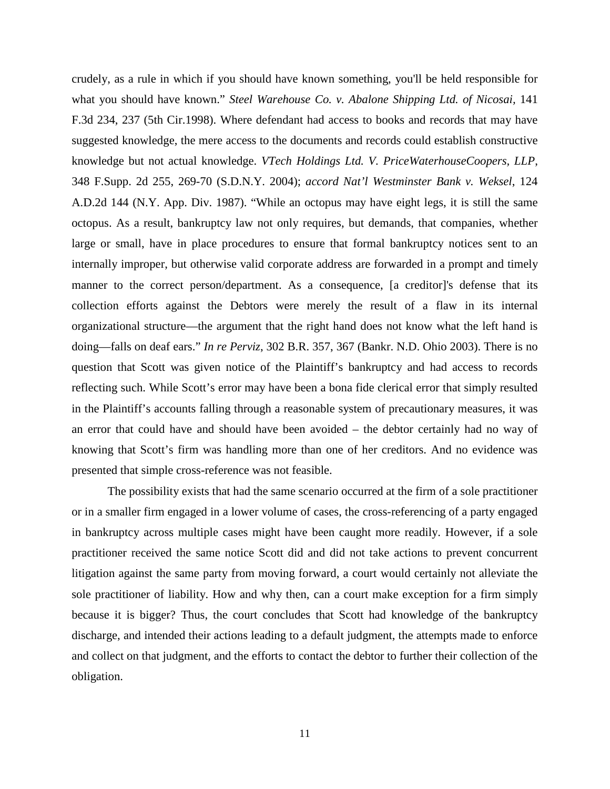crudely, as a rule in which if you should have known something, you'll be held responsible for what you should have known." *Steel Warehouse Co. v. Abalone Shipping Ltd. of Nicosai,* 141 F.3d 234, 237 (5th Cir.1998). Where defendant had access to books and records that may have suggested knowledge, the mere access to the documents and records could establish constructive knowledge but not actual knowledge. *VTech Holdings Ltd. V. PriceWaterhouseCoopers, LLP*, 348 F.Supp. 2d 255, 269-70 (S.D.N.Y. 2004); *accord Nat'l Westminster Bank v. Weksel*, 124 A.D.2d 144 (N.Y. App. Div. 1987). "While an octopus may have eight legs, it is still the same octopus. As a result, bankruptcy law not only requires, but demands, that companies, whether large or small, have in place procedures to ensure that formal bankruptcy notices sent to an internally improper, but otherwise valid corporate address are forwarded in a prompt and timely manner to the correct person/department. As a consequence, [a creditor]'s defense that its collection efforts against the Debtors were merely the result of a flaw in its internal organizational structure—the argument that the right hand does not know what the left hand is doing—falls on deaf ears." *In re Perviz*, 302 B.R. 357, 367 (Bankr. N.D. Ohio 2003). There is no question that Scott was given notice of the Plaintiff's bankruptcy and had access to records reflecting such. While Scott's error may have been a bona fide clerical error that simply resulted in the Plaintiff's accounts falling through a reasonable system of precautionary measures, it was an error that could have and should have been avoided – the debtor certainly had no way of knowing that Scott's firm was handling more than one of her creditors. And no evidence was presented that simple cross-reference was not feasible.

The possibility exists that had the same scenario occurred at the firm of a sole practitioner or in a smaller firm engaged in a lower volume of cases, the cross-referencing of a party engaged in bankruptcy across multiple cases might have been caught more readily. However, if a sole practitioner received the same notice Scott did and did not take actions to prevent concurrent litigation against the same party from moving forward, a court would certainly not alleviate the sole practitioner of liability. How and why then, can a court make exception for a firm simply because it is bigger? Thus, the court concludes that Scott had knowledge of the bankruptcy discharge, and intended their actions leading to a default judgment, the attempts made to enforce and collect on that judgment, and the efforts to contact the debtor to further their collection of the obligation.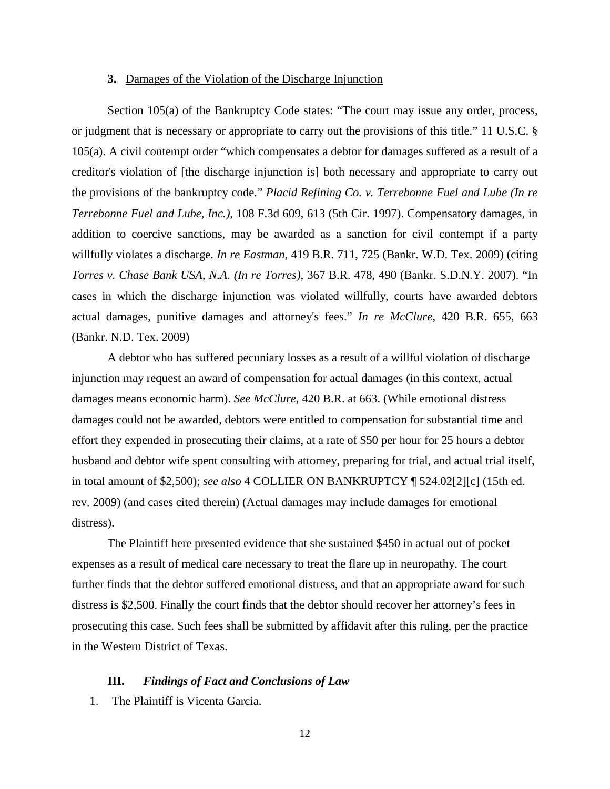### **3.** Damages of the Violation of the Discharge Injunction

Section 105(a) of the Bankruptcy Code states: "The court may issue any order, process, or judgment that is necessary or appropriate to carry out the provisions of this title." 11 U.S.C. § 105(a). A civil contempt order "which compensates a debtor for damages suffered as a result of a creditor's violation of [the discharge injunction is] both necessary and appropriate to carry out the provisions of the bankruptcy code." *Placid Refining Co. v. Terrebonne Fuel and Lube (In re Terrebonne Fuel and Lube, Inc.)*, 108 F.3d 609, 613 (5th Cir. 1997). Compensatory damages, in addition to coercive sanctions, may be awarded as a sanction for civil contempt if a party willfully violates a discharge. *In re Eastman*, 419 B.R. 711, 725 (Bankr. W.D. Tex. 2009) (citing *Torres v. Chase Bank USA, N.A. (In re Torres)*, 367 B.R. 478, 490 (Bankr. S.D.N.Y. 2007). "In cases in which the discharge injunction was violated willfully, courts have awarded debtors actual damages, punitive damages and attorney's fees." *In re McClure*, 420 B.R. 655, 663 (Bankr. N.D. Tex. 2009)

A debtor who has suffered pecuniary losses as a result of a willful violation of discharge injunction may request an award of compensation for actual damages (in this context, actual damages means economic harm). *See McClure*, 420 B.R. at 663. (While emotional distress damages could not be awarded, debtors were entitled to compensation for substantial time and effort they expended in prosecuting their claims, at a rate of \$50 per hour for 25 hours a debtor husband and debtor wife spent consulting with attorney, preparing for trial, and actual trial itself, in total amount of \$2,500); *see also* 4 COLLIER ON BANKRUPTCY ¶ 524.02[2][c] (15th ed. rev. 2009) (and cases cited therein) (Actual damages may include damages for emotional distress).

The Plaintiff here presented evidence that she sustained \$450 in actual out of pocket expenses as a result of medical care necessary to treat the flare up in neuropathy. The court further finds that the debtor suffered emotional distress, and that an appropriate award for such distress is \$2,500. Finally the court finds that the debtor should recover her attorney's fees in prosecuting this case. Such fees shall be submitted by affidavit after this ruling, per the practice in the Western District of Texas.

### **III.** *Findings of Fact and Conclusions of Law*

1. The Plaintiff is Vicenta Garcia.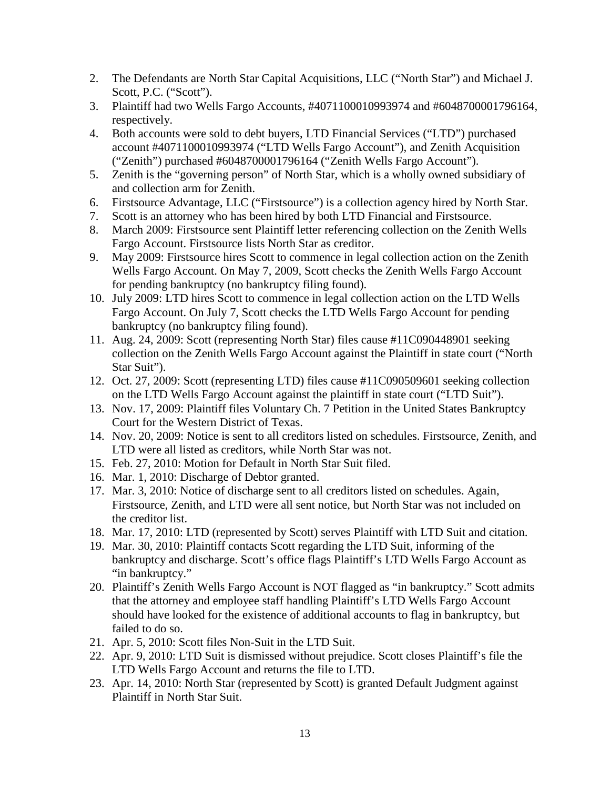- 2. The Defendants are North Star Capital Acquisitions, LLC ("North Star") and Michael J. Scott, P.C. ("Scott").
- 3. Plaintiff had two Wells Fargo Accounts, #4071100010993974 and #6048700001796164, respectively.
- 4. Both accounts were sold to debt buyers, LTD Financial Services ("LTD") purchased account #4071100010993974 ("LTD Wells Fargo Account"), and Zenith Acquisition ("Zenith") purchased #6048700001796164 ("Zenith Wells Fargo Account").
- 5. Zenith is the "governing person" of North Star, which is a wholly owned subsidiary of and collection arm for Zenith.
- 6. Firstsource Advantage, LLC ("Firstsource") is a collection agency hired by North Star.
- 7. Scott is an attorney who has been hired by both LTD Financial and Firstsource.
- 8. March 2009: Firstsource sent Plaintiff letter referencing collection on the Zenith Wells Fargo Account. Firstsource lists North Star as creditor.
- 9. May 2009: Firstsource hires Scott to commence in legal collection action on the Zenith Wells Fargo Account. On May 7, 2009, Scott checks the Zenith Wells Fargo Account for pending bankruptcy (no bankruptcy filing found).
- 10. July 2009: LTD hires Scott to commence in legal collection action on the LTD Wells Fargo Account. On July 7, Scott checks the LTD Wells Fargo Account for pending bankruptcy (no bankruptcy filing found).
- 11. Aug. 24, 2009: Scott (representing North Star) files cause #11C090448901 seeking collection on the Zenith Wells Fargo Account against the Plaintiff in state court ("North Star Suit").
- 12. Oct. 27, 2009: Scott (representing LTD) files cause #11C090509601 seeking collection on the LTD Wells Fargo Account against the plaintiff in state court ("LTD Suit").
- 13. Nov. 17, 2009: Plaintiff files Voluntary Ch. 7 Petition in the United States Bankruptcy Court for the Western District of Texas.
- 14. Nov. 20, 2009: Notice is sent to all creditors listed on schedules. Firstsource, Zenith, and LTD were all listed as creditors, while North Star was not.
- 15. Feb. 27, 2010: Motion for Default in North Star Suit filed.
- 16. Mar. 1, 2010: Discharge of Debtor granted.
- 17. Mar. 3, 2010: Notice of discharge sent to all creditors listed on schedules. Again, Firstsource, Zenith, and LTD were all sent notice, but North Star was not included on the creditor list.
- 18. Mar. 17, 2010: LTD (represented by Scott) serves Plaintiff with LTD Suit and citation.
- 19. Mar. 30, 2010: Plaintiff contacts Scott regarding the LTD Suit, informing of the bankruptcy and discharge. Scott's office flags Plaintiff's LTD Wells Fargo Account as "in bankruptcy."
- 20. Plaintiff's Zenith Wells Fargo Account is NOT flagged as "in bankruptcy." Scott admits that the attorney and employee staff handling Plaintiff's LTD Wells Fargo Account should have looked for the existence of additional accounts to flag in bankruptcy, but failed to do so.
- 21. Apr. 5, 2010: Scott files Non-Suit in the LTD Suit.
- 22. Apr. 9, 2010: LTD Suit is dismissed without prejudice. Scott closes Plaintiff's file the LTD Wells Fargo Account and returns the file to LTD.
- 23. Apr. 14, 2010: North Star (represented by Scott) is granted Default Judgment against Plaintiff in North Star Suit.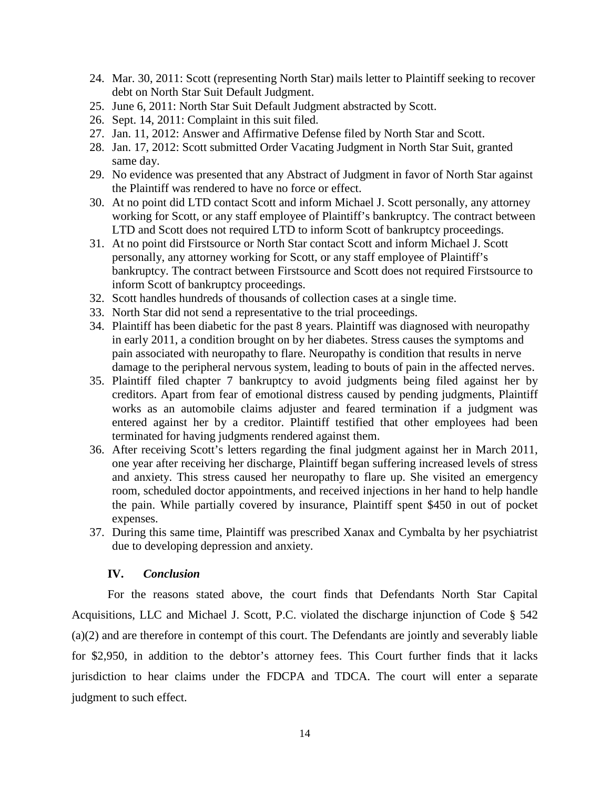- 24. Mar. 30, 2011: Scott (representing North Star) mails letter to Plaintiff seeking to recover debt on North Star Suit Default Judgment.
- 25. June 6, 2011: North Star Suit Default Judgment abstracted by Scott.
- 26. Sept. 14, 2011: Complaint in this suit filed.
- 27. Jan. 11, 2012: Answer and Affirmative Defense filed by North Star and Scott.
- 28. Jan. 17, 2012: Scott submitted Order Vacating Judgment in North Star Suit, granted same day.
- 29. No evidence was presented that any Abstract of Judgment in favor of North Star against the Plaintiff was rendered to have no force or effect.
- 30. At no point did LTD contact Scott and inform Michael J. Scott personally, any attorney working for Scott, or any staff employee of Plaintiff's bankruptcy. The contract between LTD and Scott does not required LTD to inform Scott of bankruptcy proceedings.
- 31. At no point did Firstsource or North Star contact Scott and inform Michael J. Scott personally, any attorney working for Scott, or any staff employee of Plaintiff's bankruptcy. The contract between Firstsource and Scott does not required Firstsource to inform Scott of bankruptcy proceedings.
- 32. Scott handles hundreds of thousands of collection cases at a single time.
- 33. North Star did not send a representative to the trial proceedings.
- 34. Plaintiff has been diabetic for the past 8 years. Plaintiff was diagnosed with neuropathy in early 2011, a condition brought on by her diabetes. Stress causes the symptoms and pain associated with neuropathy to flare. Neuropathy is condition that results in nerve damage to the peripheral nervous system, leading to bouts of pain in the affected nerves.
- 35. Plaintiff filed chapter 7 bankruptcy to avoid judgments being filed against her by creditors. Apart from fear of emotional distress caused by pending judgments, Plaintiff works as an automobile claims adjuster and feared termination if a judgment was entered against her by a creditor. Plaintiff testified that other employees had been terminated for having judgments rendered against them.
- 36. After receiving Scott's letters regarding the final judgment against her in March 2011, one year after receiving her discharge, Plaintiff began suffering increased levels of stress and anxiety. This stress caused her neuropathy to flare up. She visited an emergency room, scheduled doctor appointments, and received injections in her hand to help handle the pain. While partially covered by insurance, Plaintiff spent \$450 in out of pocket expenses.
- 37. During this same time, Plaintiff was prescribed Xanax and Cymbalta by her psychiatrist due to developing depression and anxiety.

### **IV.** *Conclusion*

For the reasons stated above, the court finds that Defendants North Star Capital Acquisitions, LLC and Michael J. Scott, P.C. violated the discharge injunction of Code § 542 (a)(2) and are therefore in contempt of this court. The Defendants are jointly and severably liable for \$2,950, in addition to the debtor's attorney fees. This Court further finds that it lacks jurisdiction to hear claims under the FDCPA and TDCA. The court will enter a separate judgment to such effect.